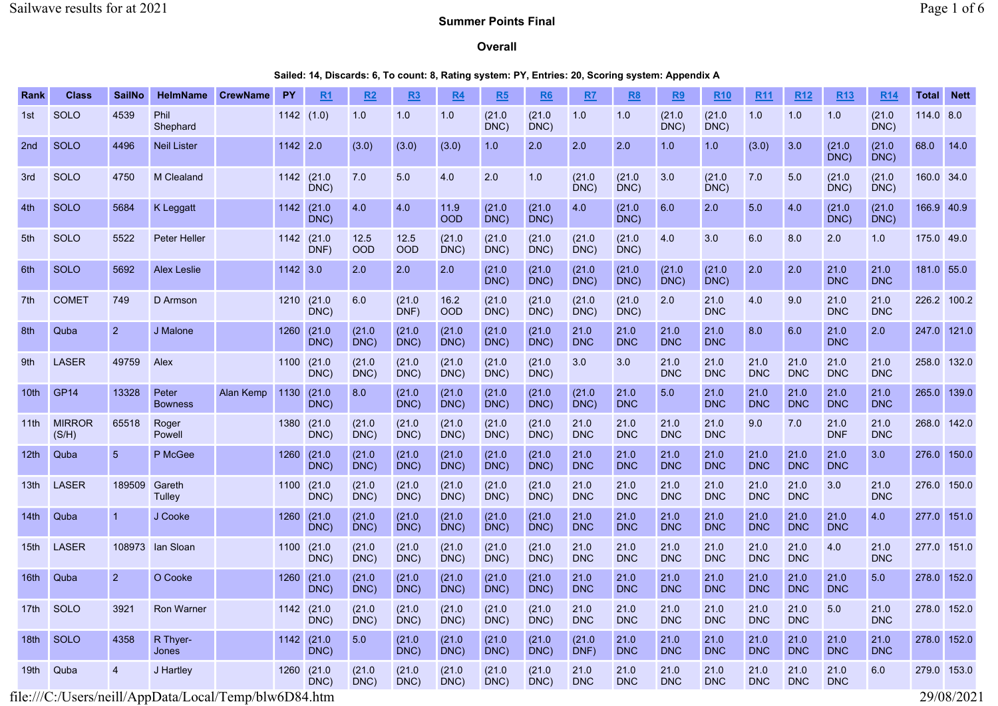# **Overall**

Sailed: 14, Discards: 6, To count: 8, Rating system: PY, Entries: 20, Scoring system: Appendix A

| Rank             | <b>Class</b>           | <b>SailNo</b>   | <b>HelmName</b>         | <b>CrewName</b> | <b>PY</b> | R <sub>1</sub>      | R <sub>2</sub> | R <sub>3</sub> | <b>R4</b>          | R <sub>5</sub> | R <sub>6</sub> | R7                 | R <sub>8</sub>     | R <sub>9</sub>     | <b>R10</b>         | <b>R11</b>         | <b>R12</b>         | <b>R13</b>         | <b>R14</b>         | <b>Total</b> | <b>Nett</b> |
|------------------|------------------------|-----------------|-------------------------|-----------------|-----------|---------------------|----------------|----------------|--------------------|----------------|----------------|--------------------|--------------------|--------------------|--------------------|--------------------|--------------------|--------------------|--------------------|--------------|-------------|
| 1st              | <b>SOLO</b>            | 4539            | Phil<br>Shephard        |                 | 1142(1.0) |                     | 1.0            | 1.0            | 1.0                | (21.0)<br>DNC) | (21.0)<br>DNC) | 1.0                | 1.0                | (21.0)<br>DNC)     | (21.0)<br>DNC)     | 1.0                | 1.0                | 1.0                | (21.0)<br>DNC)     | 114.0 8.0    |             |
| 2nd              | <b>SOLO</b>            | 4496            | <b>Neil Lister</b>      |                 | 1142 2.0  |                     | (3.0)          | (3.0)          | (3.0)              | 1.0            | 2.0            | 2.0                | 2.0                | 1.0                | 1.0                | (3.0)              | 3.0                | (21.0)<br>DNC)     | (21.0)<br>DNC)     | 68.0         | 14.0        |
| 3rd              | <b>SOLO</b>            | 4750            | M Clealand              |                 |           | 1142 (21.0)<br>DNC) | 7.0            | 5.0            | 4.0                | 2.0            | 1.0            | (21.0)<br>DNC)     | (21.0)<br>DNC)     | 3.0                | (21.0)<br>DNC)     | 7.0                | 5.0                | (21.0)<br>DNC)     | (21.0)<br>DNC)     | 160.0 34.0   |             |
| 4th              | <b>SOLO</b>            | 5684            | <b>K</b> Leggatt        |                 | 1142      | (21.0)<br>DNC)      | 4.0            | 4.0            | 11.9<br><b>OOD</b> | (21.0)<br>DNC) | (21.0)<br>DNC) | 4.0                | (21.0)<br>DNC)     | 6.0                | 2.0                | 5.0                | 4.0                | (21.0)<br>DNC)     | (21.0)<br>DNC)     | 166.9 40.9   |             |
| 5th              | <b>SOLO</b>            | 5522            | <b>Peter Heller</b>     |                 | 1142      | (21.0)<br>DNF)      | 12.5<br>OOD    | 12.5<br>OOD    | (21.0)<br>DNC)     | (21.0)<br>DNC) | (21.0)<br>DNC) | (21.0)<br>DNC)     | (21.0)<br>DNC)     | 4.0                | 3.0                | 6.0                | 8.0                | 2.0                | 1.0                | 175.0 49.0   |             |
| 6th              | <b>SOLO</b>            | 5692            | <b>Alex Leslie</b>      |                 | 1142 3.0  |                     | 2.0            | 2.0            | 2.0                | (21.0)<br>DNC) | (21.0)<br>DNC) | (21.0)<br>DNC)     | (21.0)<br>DNC)     | (21.0)<br>DNC)     | (21.0)<br>DNC)     | 2.0                | 2.0                | 21.0<br><b>DNC</b> | 21.0<br><b>DNC</b> | 181.0 55.0   |             |
| 7th              | <b>COMET</b>           | 749             | D Armson                |                 | 1210      | (21.0)<br>DNC)      | 6.0            | (21.0)<br>DNF) | 16.2<br><b>OOD</b> | (21.0)<br>DNC) | (21.0)<br>DNC) | (21.0)<br>DNC)     | (21.0)<br>DNC)     | 2.0                | 21.0<br><b>DNC</b> | 4.0                | 9.0                | 21.0<br><b>DNC</b> | 21.0<br><b>DNC</b> |              | 226.2 100.2 |
| 8th              | Quba                   | $\overline{2}$  | J Malone                |                 | 1260      | (21.0)<br>DNC)      | (21.0)<br>DNC) | (21.0)<br>DNC) | (21.0)<br>DNC)     | (21.0)<br>DNC) | (21.0)<br>DNC) | 21.0<br><b>DNC</b> | 21.0<br><b>DNC</b> | 21.0<br><b>DNC</b> | 21.0<br><b>DNC</b> | 8.0                | 6.0                | 21.0<br><b>DNC</b> | 2.0                |              | 247.0 121.0 |
| 9th              | <b>LASER</b>           | 49759           | Alex                    |                 |           | 1100 (21.0<br>DNC)  | (21.0)<br>DNC) | (21.0)<br>DNC) | (21.0)<br>DNC)     | (21.0)<br>DNC) | (21.0)<br>DNC) | 3.0                | 3.0                | 21.0<br><b>DNC</b> | 21.0<br><b>DNC</b> | 21.0<br><b>DNC</b> | 21.0<br><b>DNC</b> | 21.0<br><b>DNC</b> | 21.0<br><b>DNC</b> |              | 258.0 132.0 |
| 10 <sub>th</sub> | <b>GP14</b>            | 13328           | Peter<br><b>Bowness</b> | Alan Kemp       | 1130      | (21.0)<br>DNC)      | 8.0            | (21.0)<br>DNC) | (21.0)<br>DNC)     | (21.0)<br>DNC) | (21.0)<br>DNC) | (21.0)<br>DNC)     | 21.0<br><b>DNC</b> | 5.0                | 21.0<br><b>DNC</b> | 21.0<br><b>DNC</b> | 21.0<br><b>DNC</b> | 21.0<br><b>DNC</b> | 21.0<br><b>DNC</b> |              | 265.0 139.0 |
| 11th             | <b>MIRROR</b><br>(S/H) | 65518           | Roger<br>Powell         |                 | 1380      | (21.0)<br>DNC)      | (21.0)<br>DNC) | (21.0)<br>DNC) | (21.0)<br>DNC)     | (21.0)<br>DNC) | (21.0)<br>DNC) | 21.0<br><b>DNC</b> | 21.0<br><b>DNC</b> | 21.0<br><b>DNC</b> | 21.0<br><b>DNC</b> | 9.0                | 7.0                | 21.0<br><b>DNF</b> | 21.0<br><b>DNC</b> |              | 268.0 142.0 |
| 12 <sub>th</sub> | Quba                   | $5\overline{)}$ | P McGee                 |                 | 1260      | (21.0)<br>DNC)      | (21.0)<br>DNC) | (21.0)<br>DNC) | (21.0)<br>DNC)     | (21.0)<br>DNC) | (21.0)<br>DNC) | 21.0<br><b>DNC</b> | 21.0<br><b>DNC</b> | 21.0<br><b>DNC</b> | 21.0<br><b>DNC</b> | 21.0<br><b>DNC</b> | 21.0<br><b>DNC</b> | 21.0<br><b>DNC</b> | 3.0                | 276.0        | 150.0       |
| 13 <sub>th</sub> | <b>LASER</b>           | 189509          | Gareth<br>Tulley        |                 |           | 1100 (21.0<br>DNC)  | (21.0)<br>DNC) | (21.0)<br>DNC) | (21.0)<br>DNC)     | (21.0)<br>DNC) | (21.0)<br>DNC) | 21.0<br><b>DNC</b> | 21.0<br><b>DNC</b> | 21.0<br><b>DNC</b> | 21.0<br><b>DNC</b> | 21.0<br><b>DNC</b> | 21.0<br><b>DNC</b> | 3.0                | 21.0<br><b>DNC</b> |              | 276.0 150.0 |
| 14th             | Quba                   | $\overline{1}$  | J Cooke                 |                 | 1260      | (21.0)<br>DNC)      | (21.0)<br>DNC) | (21.0)<br>DNC) | (21.0)<br>DNC)     | (21.0)<br>DNC) | (21.0)<br>DNC) | 21.0<br><b>DNC</b> | 21.0<br><b>DNC</b> | 21.0<br><b>DNC</b> | 21.0<br><b>DNC</b> | 21.0<br><b>DNC</b> | 21.0<br><b>DNC</b> | 21.0<br><b>DNC</b> | 4.0                |              | 277.0 151.0 |
| 15th             | <b>LASER</b>           | 108973          | lan Sloan               |                 | 1100      | (21.0)<br>DNC       | (21.0)<br>DNC) | (21.0)<br>DNC) | (21.0)<br>DNC)     | (21.0)<br>DNC) | (21.0)<br>DNC) | 21.0<br><b>DNC</b> | 21.0<br><b>DNC</b> | 21.0<br><b>DNC</b> | 21.0<br><b>DNC</b> | 21.0<br><b>DNC</b> | 21.0<br><b>DNC</b> | 4.0                | 21.0<br><b>DNC</b> |              | 277.0 151.0 |
| 16th             | Quba                   | $\overline{2}$  | O Cooke                 |                 | 1260      | (21.0)<br>DNC)      | (21.0)<br>DNC) | (21.0)<br>DNC) | (21.0)<br>DNC)     | (21.0)<br>DNC) | (21.0)<br>DNC) | 21.0<br><b>DNC</b> | 21.0<br><b>DNC</b> | 21.0<br><b>DNC</b> | 21.0<br><b>DNC</b> | 21.0<br><b>DNC</b> | 21.0<br><b>DNC</b> | 21.0<br><b>DNC</b> | 5.0                |              | 278.0 152.0 |
| 17th             | SOLO                   | 3921            | <b>Ron Warner</b>       |                 | 1142      | (21.0)<br>DNC)      | (21.0)<br>DNC) | (21.0)<br>DNC) | (21.0)<br>DNC)     | (21.0)<br>DNC) | (21.0)<br>DNC) | 21.0<br><b>DNC</b> | 21.0<br><b>DNC</b> | 21.0<br><b>DNC</b> | 21.0<br><b>DNC</b> | 21.0<br><b>DNC</b> | 21.0<br><b>DNC</b> | 5.0                | 21.0<br><b>DNC</b> |              | 278.0 152.0 |
| 18 <sub>th</sub> | SOLO                   | 4358            | R Thyer-<br>Jones       |                 | 1142      | (21.0)<br>DNC)      | 5.0            | (21.0)<br>DNC) | (21.0)<br>DNC)     | (21.0)<br>DNC) | (21.0)<br>DNC) | (21.0)<br>DNF)     | 21.0<br><b>DNC</b> | 21.0<br><b>DNC</b> | 21.0<br><b>DNC</b> | 21.0<br><b>DNC</b> | 21.0<br><b>DNC</b> | 21.0<br><b>DNC</b> | 21.0<br><b>DNC</b> |              | 278.0 152.0 |
| 19th             | Quba                   | $\overline{4}$  | J Hartley               |                 | 1260      | (21.0)<br>DNC)      | (21.0)<br>DNC) | (21.0)<br>DNC) | (21.0)<br>DNC)     | (21.0)<br>DNC) | (21.0)<br>DNC) | 21.0<br><b>DNC</b> | 21.0<br><b>DNC</b> | 21.0<br><b>DNC</b> | 21.0<br><b>DNC</b> | 21.0<br><b>DNC</b> | 21.0<br><b>DNC</b> | 21.0<br><b>DNC</b> | 6.0                |              | 279.0 153.0 |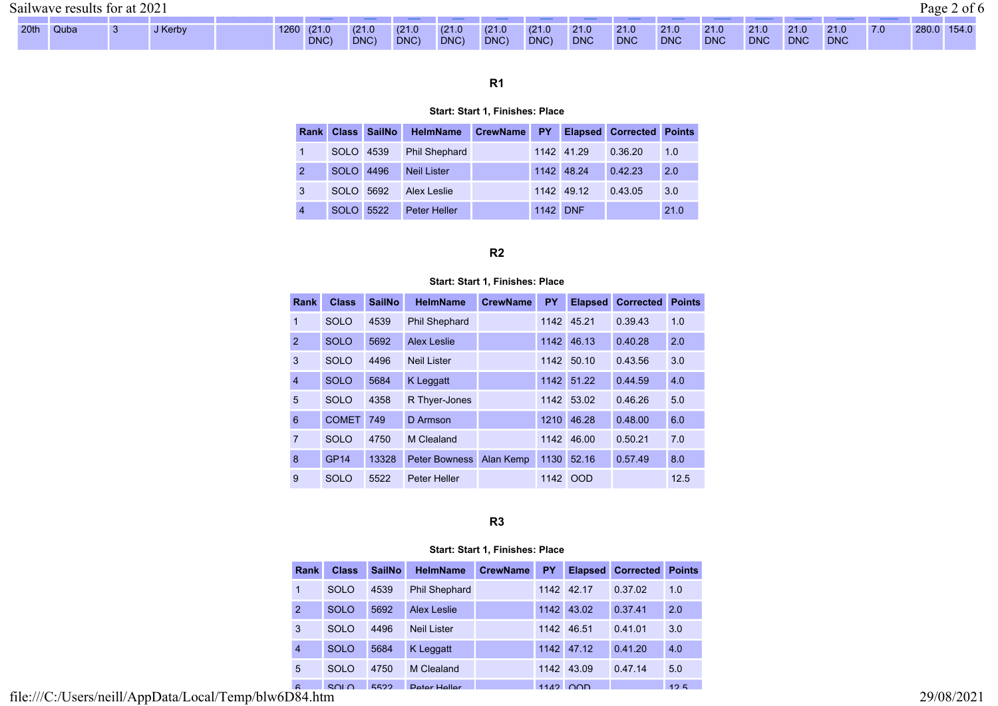20th Quba 3 J Kerby 1260 (21.0

DNC)

DNC)

DNC)

DNC)

DNC

DNC

DNC

DNC

# R1

DNC)

DNC)

DNC

DNC

DNC

#### Start: Start 1, Finishes: Place

| <b>Rank</b>    |             | <b>Class SailNo</b> | <b>HelmName</b>      | <b>CrewName</b> | <b>PY</b> |            | <b>Elapsed Corrected Points</b> |      |
|----------------|-------------|---------------------|----------------------|-----------------|-----------|------------|---------------------------------|------|
|                | SOLO 4539   |                     | <b>Phil Shephard</b> |                 |           | 1142 41.29 | 0.36.20                         | 1.0  |
| $\overline{2}$ | <b>SOLO</b> | 4496                | <b>Neil Lister</b>   |                 |           | 1142 48.24 | 0.42.23                         | 2.0  |
| 3              | SOLO        | 5692                | Alex Leslie          |                 |           | 1142 49.12 | 0.43.05                         | 3.0  |
| $\overline{4}$ | <b>SOLO</b> | 5522                | Peter Heller         |                 | 1142 DNF  |            |                                 | 21.0 |

# R2

#### Start: Start 1, Finishes: Place

|                | Rank | <b>Class</b> | <b>SailNo</b> | <b>HelmName</b>      | <b>CrewName</b> | <b>PY</b> | <b>Elapsed</b> | <b>Corrected</b> | <b>Points</b> |
|----------------|------|--------------|---------------|----------------------|-----------------|-----------|----------------|------------------|---------------|
| 1              |      | <b>SOLO</b>  | 4539          | <b>Phil Shephard</b> |                 | 1142      | 45.21          | 0.39.43          | 1.0           |
| $\overline{2}$ |      | <b>SOLO</b>  | 5692          | <b>Alex Leslie</b>   |                 | 1142      | 46.13          | 0.40.28          | 2.0           |
| 3              |      | <b>SOLO</b>  | 4496          | <b>Neil Lister</b>   |                 | 1142      | 50.10          | 0.43.56          | 3.0           |
| $\overline{4}$ |      | <b>SOLO</b>  | 5684          | K Leggatt            |                 | 1142      | 51.22          | 0.44.59          | 4.0           |
| 5              |      | <b>SOLO</b>  | 4358          | R Thyer-Jones        |                 | 1142      | 53.02          | 0.46.26          | 5.0           |
| 6              |      | <b>COMET</b> | 749           | D Armson             |                 | 1210      | 46.28          | 0.48.00          | 6.0           |
| $\overline{7}$ |      | <b>SOLO</b>  | 4750          | M Clealand           |                 | 1142      | 46.00          | 0.50.21          | 7.0           |
| 8              |      | <b>GP14</b>  | 13328         | <b>Peter Bowness</b> | Alan Kemp       | 1130      | 52.16          | 0.57.49          | 8.0           |
| 9              |      | <b>SOLO</b>  | 5522          | <b>Peter Heller</b>  |                 |           | 1142 OOD       |                  | 12.5          |

R3

### Start: Start 1, Finishes: Place

| <b>Rank</b>           | <b>Class</b> | <b>SailNo</b> | <b>HelmName</b>      | <b>CrewName</b> | <b>PY</b> | <b>Elapsed</b> | <b>Corrected</b> | <b>Points</b> |
|-----------------------|--------------|---------------|----------------------|-----------------|-----------|----------------|------------------|---------------|
| 1                     | <b>SOLO</b>  | 4539          | <b>Phil Shephard</b> |                 |           | 1142 42.17     | 0.37.02          | 1.0           |
| $\overline{2}$        | <b>SOLO</b>  | 5692          | <b>Alex Leslie</b>   |                 | 1142      | 43.02          | 0.37.41          | 2.0           |
| 3                     | <b>SOLO</b>  | 4496          | <b>Neil Lister</b>   |                 | 1142      | 46.51          | 0.41.01          | 3.0           |
| $\overline{4}$        | <b>SOLO</b>  | 5684          | K Leggatt            |                 |           | 1142 47.12     | 0.41.20          | 4.0           |
| 5                     | <b>SOLO</b>  | 4750          | M Clealand           |                 | 1142      | 43.09          | 0.47.14          | 5.0           |
| $\epsilon$<br>_ _ _ _ | 2010         | 5522          | <b>Peter Heller</b>  |                 |           | $1112$ $00$    |                  | 125           |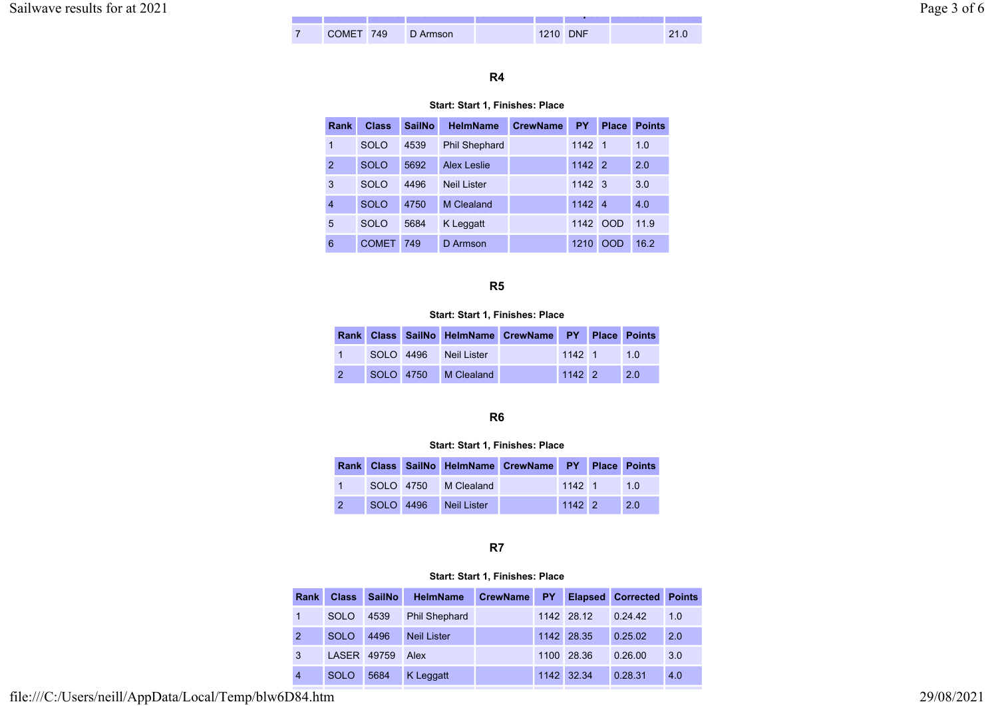| ________ | ------- | -------- | .             | ------------ |         | <b>STATISTICS</b> IN THE STATE | --------- | .        |
|----------|---------|----------|---------------|--------------|---------|--------------------------------|-----------|----------|
| -        | COME    | 749.     | ≀ Armson<br>◡ |              | . Z I U | <b>DNF</b>                     |           | <u>.</u> |

# R4

#### Start: Start 1, Finishes: Place

| Rank           | <b>Class</b> | <b>SailNo</b> | <b>HelmName</b>      | <b>CrewName</b> | <b>PY</b> | <b>Place</b>   | <b>Points</b> |
|----------------|--------------|---------------|----------------------|-----------------|-----------|----------------|---------------|
| 1              | <b>SOLO</b>  | 4539          | <b>Phil Shephard</b> |                 | 1142 1    |                | 1.0           |
| $\overline{2}$ | <b>SOLO</b>  | 5692          | <b>Alex Leslie</b>   |                 | 1142      | $\overline{2}$ | 2.0           |
| 3              | SOLO         | 4496          | <b>Neil Lister</b>   |                 | 1142 3    |                | 3.0           |
| 4              | <b>SOLO</b>  | 4750          | M Clealand           |                 | 1142 4    |                | 4.0           |
| 5              | SOLO         | 5684          | K Leggatt            |                 | 1142      | <b>OOD</b>     | 11.9          |
| 6              | <b>COMET</b> | 749           | D Armson             |                 | 1210      | OOD            | 16.2          |

## R5

## Start: Start 1, Finishes: Place

|  |                | Rank Class SailNo HelmName CrewName PY Place Points |                |     |
|--|----------------|-----------------------------------------------------|----------------|-----|
|  | $SOI$ $O$ 4496 | Neil Lister                                         | $1142 \quad 1$ | 1.0 |
|  |                | SOLO 4750 M Clealand                                | $1142$ 2       | 2.0 |

# R6

#### Start: Start 1, Finishes: Place

|               |  |                       | Rank Class SailNo HelmName CrewName PY Place Points |                |     |
|---------------|--|-----------------------|-----------------------------------------------------|----------------|-----|
|               |  | SOLO 4750 M Clealand  |                                                     | $1142$ 1       | 10  |
| $\mathcal{P}$ |  | SOLO 4496 Neil Lister |                                                     | $1142 \quad 2$ | 2.0 |

## R7

## Start: Start 1, Finishes: Place

| Rank           | <b>Class</b> | <b>SailNo</b> | <b>HelmName</b>      | <b>CrewName</b> | <b>PY</b> |            | <b>Elapsed Corrected Points</b> |     |
|----------------|--------------|---------------|----------------------|-----------------|-----------|------------|---------------------------------|-----|
|                | <b>SOLO</b>  | 4539          | <b>Phil Shephard</b> |                 |           | 1142 28.12 | 0.24.42                         | 1.0 |
| $\overline{2}$ | <b>SOLO</b>  | 4496          | <b>Neil Lister</b>   |                 |           | 1142 28.35 | 0.25.02                         | 2.0 |
| 3              | LASER        | 49759         | Alex                 |                 |           | 1100 28.36 | 0.26.00                         | 3.0 |
| $\overline{4}$ | <b>SOLO</b>  | 5684          | K Leggatt            |                 |           | 1142 32.34 | 0.28.31                         | 4.0 |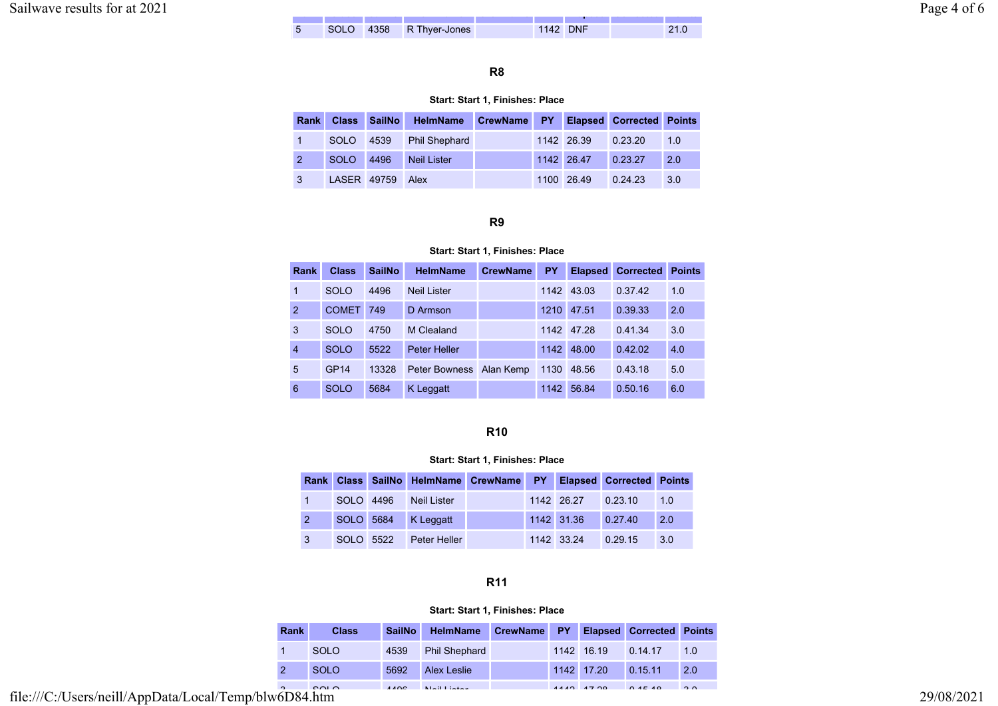| $\sim$ $\sim$<br>$202^{\circ}$<br>Sailwaye<br>: results<br>tor |                                        |                     |        |               |              |          |        | age<br>$\cdot$ |
|----------------------------------------------------------------|----------------------------------------|---------------------|--------|---------------|--------------|----------|--------|----------------|
|                                                                | <b><i><u>PERSONAL PROPERTY</u></i></b> | -----               | ______ | ------------- | ____________ |          | ______ |                |
|                                                                |                                        | en r<br><b>DULL</b> | 4358   | R Thyer-Jones |              | 1142 DNF | 21.0   |                |

## R8

### Start: Start 1, Finishes: Place

| Rank |             |      | Class SailNo HelmName CrewName PY Elapsed Corrected Points |  |            |         |     |
|------|-------------|------|------------------------------------------------------------|--|------------|---------|-----|
|      | <b>SOLO</b> | 4539 | <b>Phil Shephard</b>                                       |  | 1142 26.39 | 0.23.20 | 1.0 |
|      | SOLO        | 4496 | <b>Neil Lister</b>                                         |  | 1142 26.47 | 0.23.27 | 2.0 |
|      | LASER 49759 |      | <b>Alex</b>                                                |  | 1100 26.49 | 0.24.23 | 3.0 |

#### R9

### Start: Start 1, Finishes: Place

| Rank           | <b>Class</b>     | <b>SailNo</b> | <b>HelmName</b>         | <b>CrewName</b> | <b>PY</b> | <b>Elapsed</b> | <b>Corrected</b> | <b>Points</b> |
|----------------|------------------|---------------|-------------------------|-----------------|-----------|----------------|------------------|---------------|
| 1              | <b>SOLO</b>      | 4496          | <b>Neil Lister</b>      |                 |           | 1142 43.03     | 0.37.42          | 1.0           |
| $\overline{2}$ | <b>COMET</b>     | 749           | D Armson                |                 | 1210      | 47.51          | 0.39.33          | 2.0           |
| 3              | <b>SOLO</b>      | 4750          | M Clealand              |                 |           | 1142 47.28     | 0.41.34          | 3.0           |
| $\overline{4}$ | <b>SOLO</b>      | 5522          | <b>Peter Heller</b>     |                 | 1142      | 48.00          | 0.42.02          | 4.0           |
| 5              | GP <sub>14</sub> | 13328         | Peter Bowness Alan Kemp |                 | 1130      | 48.56          | 0.43.18          | 5.0           |
| 6              | <b>SOLO</b>      | 5684          | K Leggatt               |                 | 1142      | 56.84          | 0.50.16          | 6.0           |

#### R10

#### Start: Start 1, Finishes: Place

|                |           | Rank Class SailNo HelmName CrewName PY Elapsed Corrected Points |  |                    |         |     |
|----------------|-----------|-----------------------------------------------------------------|--|--------------------|---------|-----|
|                |           | SOLO 4496 Neil Lister                                           |  | 1142 26.27 0.23.10 |         | 1.0 |
| $\overline{2}$ |           | SOLO 5684 K Leggatt                                             |  | 1142 31.36 0.27.40 |         | 2.0 |
| $\mathbf{3}$   | SOLO 5522 | Peter Heller                                                    |  | 1142 33.24         | 0.29.15 | 3.0 |

# R11

## Start: Start 1, Finishes: Place

| <b>Rank</b>                     | <b>Class</b> | <b>SailNo</b> | HelmName             | CrewName PY |              | <b>Elapsed Corrected Points</b> |          |
|---------------------------------|--------------|---------------|----------------------|-------------|--------------|---------------------------------|----------|
|                                 | <b>SOLO</b>  | 4539          | <b>Phil Shephard</b> |             | 1142 16.19   | 0.14.17                         | 1.0      |
|                                 | <b>SOLO</b>  | 5692          | <b>Alex Leslie</b>   |             | 1142 17.20   | 0.15.11                         | 2.0      |
| $\sim$<br>$\sqrt{2}$ $\sqrt{2}$ | 0010         | $\Delta$      | Alaith is false      |             | $4440 + 700$ | 0.45.40                         | $\Omega$ |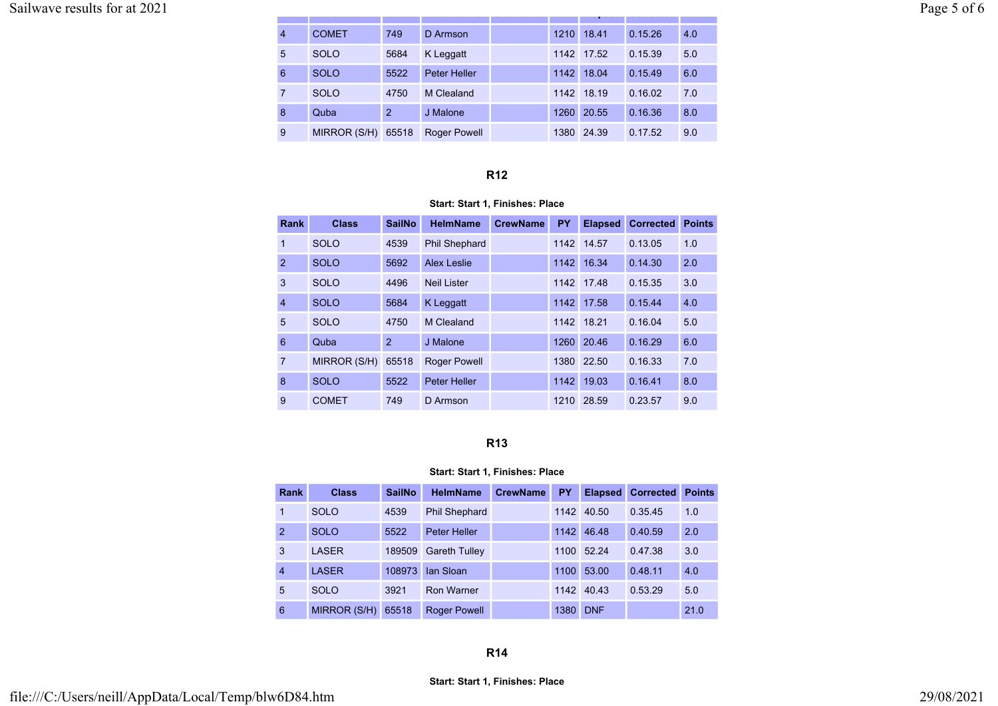# Sailwave results for at 2021 Page 5 of 6

|   | <b>COMET</b> | 749   | D Armson            | 1210 | 18.41      | 0.15.26 | 4.0 |
|---|--------------|-------|---------------------|------|------------|---------|-----|
| 5 | <b>SOLO</b>  | 5684  | K Leggatt           |      | 1142 17.52 | 0.15.39 | 5.0 |
| 6 | <b>SOLO</b>  | 5522  | Peter Heller        | 1142 | 18.04      | 0.15.49 | 6.0 |
|   | <b>SOLO</b>  | 4750  | M Clealand          | 1142 | 18.19      | 0.16.02 | 7.0 |
| 8 | Quba         | 2     | J Malone            | 1260 | 20.55      | 0.16.36 | 8.0 |
| 9 | MIRROR (S/H) | 65518 | <b>Roger Powell</b> | 1380 | 24.39      | 0.17.52 | 9.0 |

Rank Class Sailno Helmann Crewiname Py Elapsed Corrected Points

### R12

## Start: Start 1, Finishes: Place

| Rank           | <b>Class</b> | <b>SailNo</b>  | <b>HelmName</b>      | <b>CrewName</b> | PY   | <b>Elapsed</b> | <b>Corrected</b> | <b>Points</b> |
|----------------|--------------|----------------|----------------------|-----------------|------|----------------|------------------|---------------|
| 1              | <b>SOLO</b>  | 4539           | <b>Phil Shephard</b> |                 |      | 1142 14.57     | 0.13.05          | 1.0           |
| $\overline{2}$ | <b>SOLO</b>  | 5692           | Alex Leslie          |                 | 1142 | 16.34          | 0.14.30          | 2.0           |
| 3              | <b>SOLO</b>  | 4496           | <b>Neil Lister</b>   |                 |      | 1142 17.48     | 0.15.35          | 3.0           |
| $\overline{4}$ | <b>SOLO</b>  | 5684           | K Leggatt            |                 | 1142 | 17.58          | 0.15.44          | 4.0           |
| 5              | <b>SOLO</b>  | 4750           | M Clealand           |                 | 1142 | 18.21          | 0.16.04          | 5.0           |
| 6              | Quba         | $\overline{2}$ | J Malone             |                 | 1260 | 20.46          | 0.16.29          | 6.0           |
| $\overline{7}$ | MIRROR (S/H) | 65518          | <b>Roger Powell</b>  |                 | 1380 | 22.50          | 0.16.33          | 7.0           |
| 8              | <b>SOLO</b>  | 5522           | <b>Peter Heller</b>  |                 | 1142 | 19.03          | 0.16.41          | 8.0           |
| 9              | <b>COMET</b> | 749            | D Armson             |                 | 1210 | 28.59          | 0.23.57          | 9.0           |

# R13

#### Start: Start 1, Finishes: Place

| Rank           | <b>Class</b>        | <b>SailNo</b> | <b>HelmName</b>      | <b>CrewName</b> | PY   | <b>Elapsed</b> | <b>Corrected</b> | <b>Points</b> |
|----------------|---------------------|---------------|----------------------|-----------------|------|----------------|------------------|---------------|
| 1              | <b>SOLO</b>         | 4539          | <b>Phil Shephard</b> |                 | 1142 | 40.50          | 0.35.45          | 1.0           |
| 2              | <b>SOLO</b>         | 5522          | <b>Peter Heller</b>  |                 | 1142 | 46.48          | 0.40.59          | 2.0           |
| 3              | <b>LASER</b>        | 189509        | <b>Gareth Tulley</b> |                 | 1100 | 52.24          | 0.47.38          | 3.0           |
| $\overline{4}$ | <b>LASER</b>        | 108973        | lan Sloan            |                 | 1100 | 53.00          | 0.48.11          | 4.0           |
| 5              | <b>SOLO</b>         | 3921          | <b>Ron Warner</b>    |                 | 1142 | 40.43          | 0.53.29          | 5.0           |
| 6              | <b>MIRROR (S/H)</b> | 65518         | <b>Roger Powell</b>  |                 | 1380 | <b>DNF</b>     |                  | 21.0          |

## R14